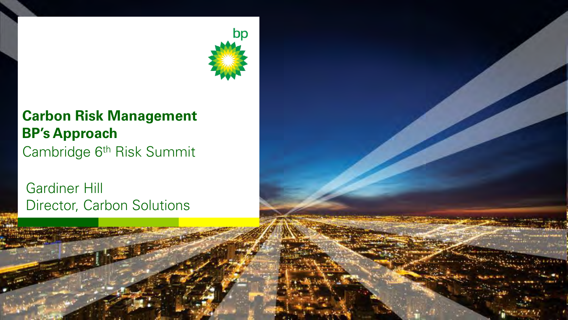

#### **Carbon Risk Management BP's Approach** Cambridge 6th Risk Summit

 Gardiner Hill Director, Carbon Solutions

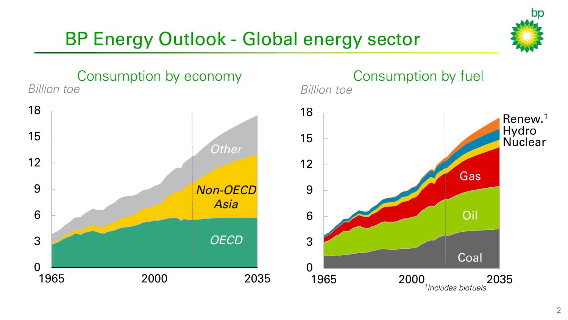

## BP Energy Outlook - Global energy sector

Consumption by economy *Billion toe* 



*Billion toe*  Consumption by fuel

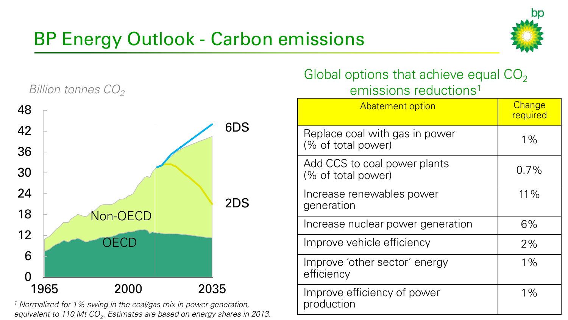## BP Energy Outlook - Carbon emissions





*1 Normalized for 1% swing in the coal/gas mix in power generation, equivalent to 110 Mt CO<sup>2</sup> . Estimates are based on energy shares in 2013.* 

#### Global options that achieve equal  $CO<sub>2</sub>$ emissions reductions<sup>1</sup> and *Billion tonnes CO<sub>2</sub>*

| <b>Abatement option</b>                              | Change<br>required |
|------------------------------------------------------|--------------------|
| Replace coal with gas in power<br>(% of total power) | $1\%$              |
| Add CCS to coal power plants<br>(% of total power)   | $0.7\%$            |
| Increase renewables power<br>generation              | 11%                |
| Increase nuclear power generation                    | 6%                 |
| Improve vehicle efficiency                           | 2%                 |
| Improve 'other sector' energy<br>efficiency          | $1\%$              |
| Improve efficiency of power<br>production            | $1\%$              |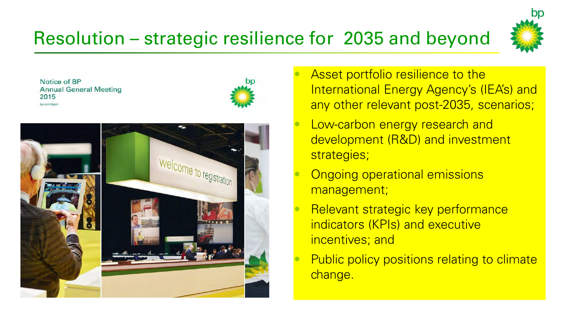## Resolution – strategic resilience for 2035 and beyond



Notice of BP **Annual General Meeting** 2015 bo com/ago





- Asset portfolio resilience to the International Energy Agency's (IEA's) and any other relevant post-2035, scenarios;
- Low-carbon energy research and development (R&D) and investment strategies;
- Ongoing operational emissions management;
- Relevant strategic key performance indicators (KPIs) and executive incentives; and
- Public policy positions relating to climate change.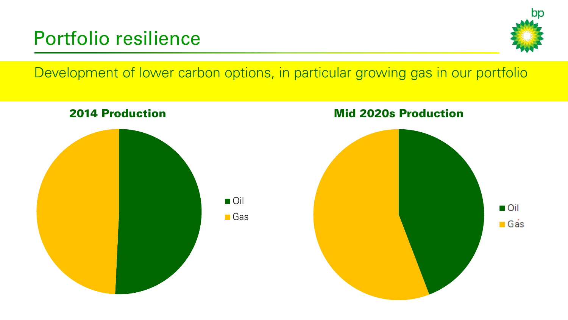## Portfolio resilience



Development of lower carbon options, in particular growing gas in our portfolio

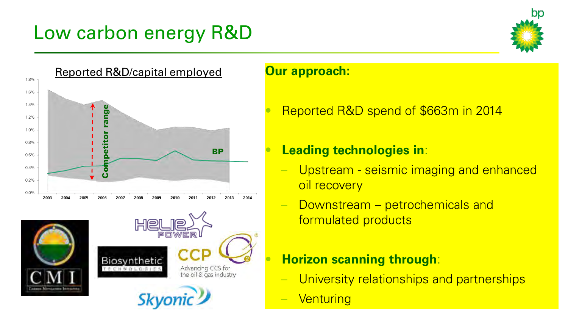## Low carbon energy R&D



#### **Our approach:**

• Reported R&D spend of \$663m in 2014

#### • **Leading technologies in**:

- Upstream seismic imaging and enhanced oil recovery
- Downstream petrochemicals and formulated products

#### • **Horizon scanning through**:

- University relationships and partnerships
- **Venturing**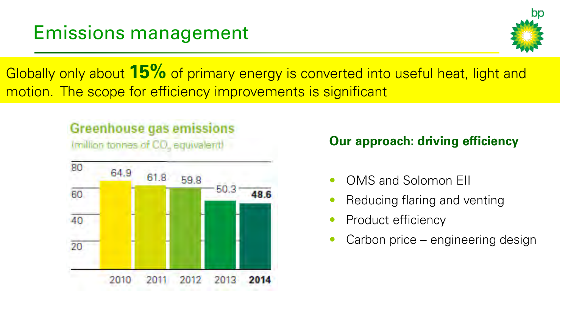

Globally only about **15%** of primary energy is converted into useful heat, light and motion. The scope for efficiency improvements is significant

#### **Greenhouse gas emissions**

(million tonnes of CO, equivalent)



#### **Our approach: driving efficiency**

- OMS and Solomon EII
- Reducing flaring and venting
- Product efficiency
- Carbon price engineering design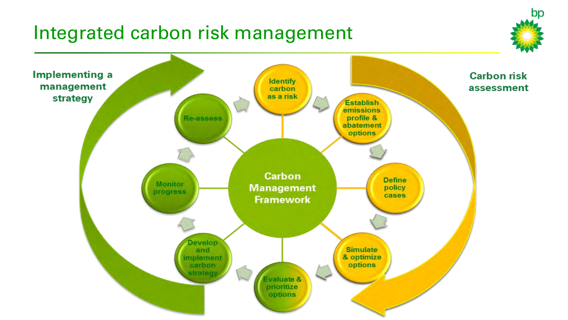## Integrated carbon risk management



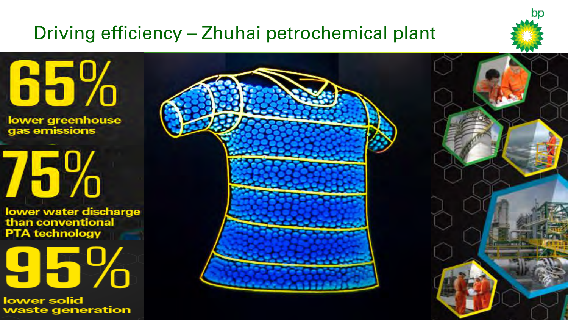## Driving efficiency – Zhuhai petrochemical plant



65%

lower greenhouse gas emissions

# 75%

lower water discharge than conventional **PTA technology** 

95%

lower solid waste generation

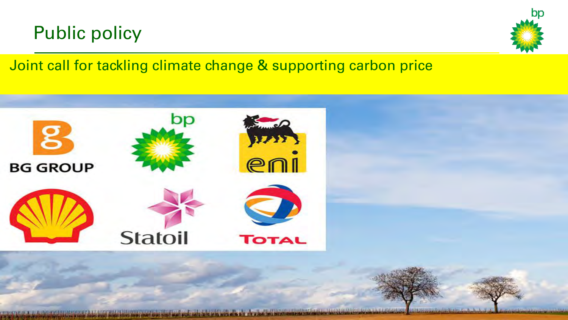## Public policy



### Joint call for tackling climate change & supporting carbon price